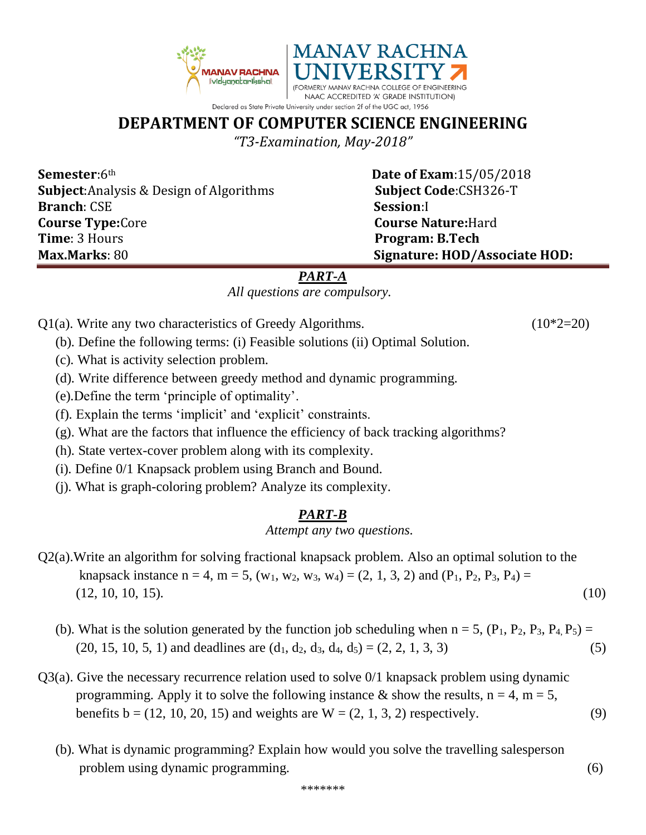

## **DEPARTMENT OF COMPUTER SCIENCE ENGINEERING**

*"T3-Examination, May-2018"*

**Semester**:6<sup>th</sup> **Date of Exam**:15/05/2018 **Subject**:Analysis & Design of Algorithms **Subject Code**:CSH326-T **Branch**: CSE **Session**:I **Course Type:**Core **Course Nature:**Hard **Time**: 3 Hours **Program: B.Tech Max.Marks**: 80 **Signature: HOD/Associate HOD:**

## *PART-A*

*All questions are compulsory.*

- $Q1(a)$ . Write any two characteristics of Greedy Algorithms. (10\*2=20)
	- (b). Define the following terms: (i) Feasible solutions (ii) Optimal Solution.
	- (c). What is activity selection problem.
	- (d). Write difference between greedy method and dynamic programming.
	- (e).Define the term 'principle of optimality'.
	- (f). Explain the terms 'implicit' and 'explicit' constraints.
	- (g). What are the factors that influence the efficiency of back tracking algorithms?
	- (h). State vertex-cover problem along with its complexity.
	- (i). Define 0/1 Knapsack problem using Branch and Bound.
	- (j). What is graph-coloring problem? Analyze its complexity.

## *PART-B*

*Attempt any two questions.*

- Q2(a).Write an algorithm for solving fractional knapsack problem. Also an optimal solution to the knapsack instance n = 4, m = 5, (w<sub>1</sub>, w<sub>2</sub>, w<sub>3</sub>, w<sub>4</sub>) = (2, 1, 3, 2) and (P<sub>1</sub>, P<sub>2</sub>, P<sub>3</sub>, P<sub>4</sub>) =  $(12, 10, 10, 15).$  (10)
	- (b). What is the solution generated by the function job scheduling when  $n = 5$ ,  $(P_1, P_2, P_3, P_4, P_5) =$  $(20, 15, 10, 5, 1)$  and deadlines are  $(d_1, d_2, d_3, d_4, d_5) = (2, 2, 1, 3, 3)$  (5)
- Q3(a). Give the necessary recurrence relation used to solve 0/1 knapsack problem using dynamic programming. Apply it to solve the following instance & show the results,  $n = 4$ ,  $m = 5$ , benefits  $b = (12, 10, 20, 15)$  and weights are  $W = (2, 1, 3, 2)$  respectively. (9)
	- (b). What is dynamic programming? Explain how would you solve the travelling salesperson problem using dynamic programming. (6)